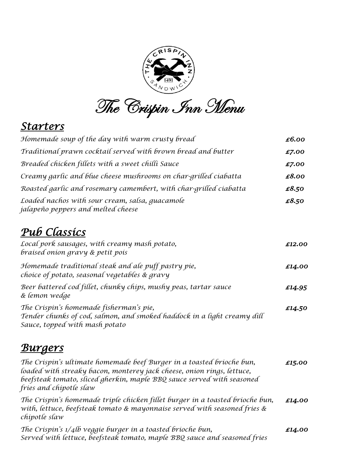

The Crispin Inn Menu

### *Starters*

| Homemade soup of the day with warm crusty bread                                                      | £6.00  |
|------------------------------------------------------------------------------------------------------|--------|
| Traditional prawn cocktail served with brown bread and butter                                        | £7.00  |
| Breaded chicken fillets with a sweet chilli Sauce                                                    | £7.00  |
| Creamy garlic and blue cheese mushrooms on char-grilled ciabatta                                     | £8.00  |
| Roasted garlic and rosemary camembert, with char-grilled ciabatta                                    | £8.50  |
| Loaded nachos with sour cream, salsa, quacamole<br>jalapeño peppers and melted cheese                | £8.50  |
| Pub Classics                                                                                         |        |
| Local pork sausages, with creamy mash potato,<br>braised onion gravy & petit pois                    | £12.00 |
| Homemade traditional steak and ale puff pastry pie,<br>choice of potato, seasonal vegetables & gravy | £14.00 |

*Beer battered cod fillet, chunky chips, mushy peas, tartar sauce £14.95 & lemon wedge The Crispin's homemade fisherman's pie, £14.50 Tender chunks of cod, salmon, and smoked haddock in a light creamy dill Sauce, topped with mash potato*

### *Burgers*

*The Crispin's ultimate homemade beef Burger in a toasted brioche bun, £15.00 loaded with streaky bacon, monterey jack cheese, onion rings, lettuce, beefsteak tomato, sliced gherkin, maple BBQ sauce served with seasoned fries and chipotle slaw The Crispin's homemade triple chicken fillet burger in a toasted brioche bun, £14.00 with, lettuce, beefsteak tomato & mayonnaise served with seasoned fries & chipotle slaw The Crispin's 1/4lb veggie burger in a toasted brioche bun, £14.00 Served with lettuce, beefsteak tomato, maple BBQ sauce and seasoned fries*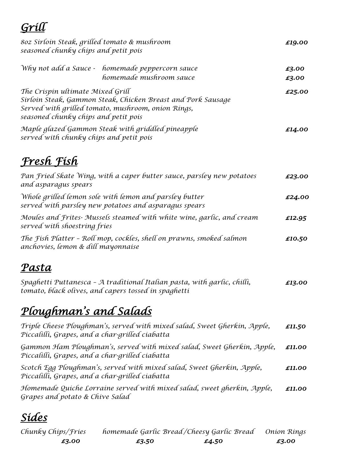### *Grill 8oz Sirloin Steak, grilled tomato & mushroom £19.00 seasoned chunky chips and petit pois Why not add a Sauce - homemade peppercorn sauce* **E3.00** *homemade mushroom sauce £3.00 The Crispin ultimate Mixed Grill <i>£25.00 Sirloin Steak, Gammon Steak, Chicken Breast and Pork Sausage Served with grilled tomato, mushroom, onion Rings, seasoned chunky chips and petit pois Maple glazed Gammon Steak with griddled pineapple £14.00 served with chunky chips and petit pois Fresh Fish*

| Pan Fried Skate Wing, with a caper butter sauce, parsley new potatoes<br>and asparagus spears                   | £23.00 |
|-----------------------------------------------------------------------------------------------------------------|--------|
| Whole grilled lemon sole with lemon and parsley butter<br>served with parsley new potatoes and asparagus spears | £24.00 |
| Moules and Frites- Mussels steamed with white wine, garlic, and cream<br>served with shoestring fries           | £12.95 |
| The Fish Platter - Roll mop, cockles, shell on prawns, smoked salmon<br>anchovies, lemon & dill mayonnaise      | £10.50 |

### *Pasta*

*Spaghetti Puttanesca – A traditional Italian pasta, with garlic, chilli, £13.00 tomato, black olives, and capers tossed in spaghetti*

## *Ploughman's and Salads*

| Triple Cheese Ploughman's, served with mixed salad, Sweet Gherkin, Apple,<br>Piccalilli, Grapes, and a char-grilled ciabatta | £11.50 |
|------------------------------------------------------------------------------------------------------------------------------|--------|
| Gammon Ham Ploughman's, served with mixed salad, Sweet Gherkin, Apple,<br>Piccalilli, Grapes, and a char-grilled ciabatta    | £11.00 |
| Scotch Egg Ploughman's, served with mixed salad, Sweet Gherkin, Apple,<br>Piccalilli, Grapes, and a char-grilled ciabatta    | £11.00 |
| Homemade Quiche Lorraine served with mixed salad, sweet gherkin, Apple,<br>Grapes and potato & Chive Salad                   | £11.00 |

# *Sides*

| Chunky Chips/Fries | homemade Garlic Bread/Cheesy Garlic Bread Onion Rings |       |       |
|--------------------|-------------------------------------------------------|-------|-------|
| £3.00              | £3.50                                                 | £4.50 | £3.00 |